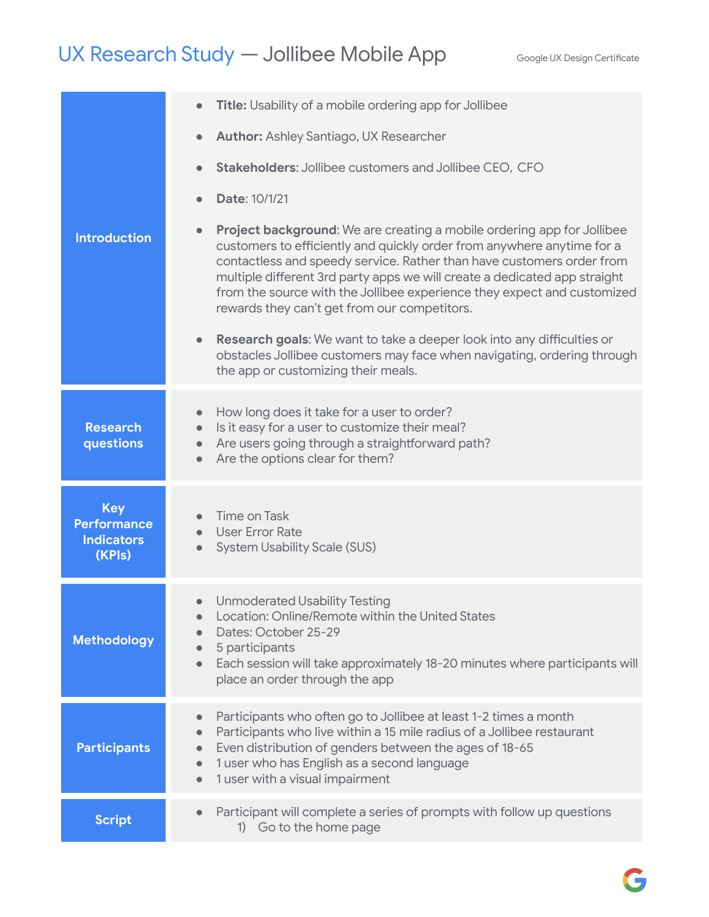## UX Research Study — Jollibee Mobile App Google UX Design Certificate

|                                                                 | Title: Usability of a mobile ordering app for Jollibee<br>$\bullet$                                                                                                                                                                                                                                                                                                                                                                                                                                                                          |
|-----------------------------------------------------------------|----------------------------------------------------------------------------------------------------------------------------------------------------------------------------------------------------------------------------------------------------------------------------------------------------------------------------------------------------------------------------------------------------------------------------------------------------------------------------------------------------------------------------------------------|
|                                                                 | <b>Author: Ashley Santiago, UX Researcher</b><br>$\bullet$                                                                                                                                                                                                                                                                                                                                                                                                                                                                                   |
|                                                                 | <b>Stakeholders: Jollibee customers and Jollibee CEO, CFO</b><br>$\bullet$                                                                                                                                                                                                                                                                                                                                                                                                                                                                   |
|                                                                 | Date: 10/1/21<br>$\bullet$                                                                                                                                                                                                                                                                                                                                                                                                                                                                                                                   |
| <b>Introduction</b>                                             | <b>Project background:</b> We are creating a mobile ordering app for Jollibee<br>$\bullet$<br>customers to efficiently and quickly order from anywhere anytime for a<br>contactless and speedy service. Rather than have customers order from<br>multiple different 3rd party apps we will create a dedicated app straight<br>from the source with the Jollibee experience they expect and customized<br>rewards they can't get from our competitors.<br>Research goals: We want to take a deeper look into any difficulties or<br>$\bullet$ |
|                                                                 | obstacles Jollibee customers may face when navigating, ordering through<br>the app or customizing their meals.                                                                                                                                                                                                                                                                                                                                                                                                                               |
|                                                                 | How long does it take for a user to order?<br>$\bullet$                                                                                                                                                                                                                                                                                                                                                                                                                                                                                      |
| <b>Research</b><br>questions                                    | Is it easy for a user to customize their meal?<br>$\bullet$<br>Are users going through a straightforward path?<br>$\bullet$<br>Are the options clear for them?<br>$\bullet$                                                                                                                                                                                                                                                                                                                                                                  |
| <b>Key</b><br><b>Performance</b><br><b>Indicators</b><br>(KPIs) | <b>Time on Task</b><br><b>User Error Rate</b><br>$\bullet$<br><b>System Usability Scale (SUS)</b>                                                                                                                                                                                                                                                                                                                                                                                                                                            |
| <b>Methodology</b>                                              | <b>Unmoderated Usability Testing</b><br>$\bullet$<br>Location: Online/Remote within the United States<br>Dates: October 25-29<br>5 participants<br>$\bullet$<br>Each session will take approximately 18-20 minutes where participants will<br>$\bullet$<br>place an order through the app                                                                                                                                                                                                                                                    |
|                                                                 | Participants who often go to Jollibee at least 1-2 times a month<br>$\bullet$                                                                                                                                                                                                                                                                                                                                                                                                                                                                |
| <b>Participants</b>                                             | Participants who live within a 15 mile radius of a Jollibee restaurant<br>$\bullet$<br>Even distribution of genders between the ages of 18-65<br>$\bullet$<br>1 user who has English as a second language<br>$\bullet$<br>1 user with a visual impairment<br>$\bullet$                                                                                                                                                                                                                                                                       |
| <b>Script</b>                                                   | Participant will complete a series of prompts with follow up questions<br>$\bullet$<br>1) Go to the home page                                                                                                                                                                                                                                                                                                                                                                                                                                |